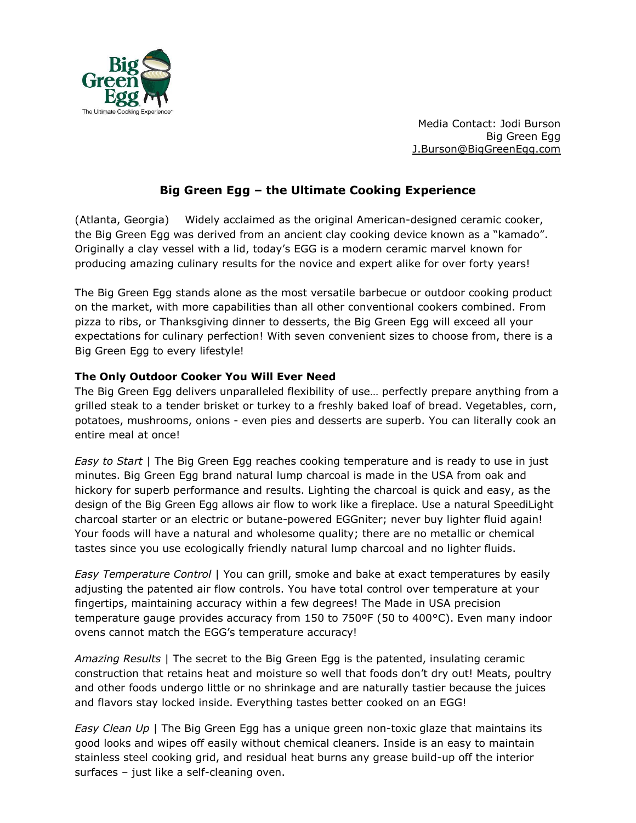

Media Contact: Jodi Burson Big Green Egg [J.](mailto:jodi.burson@biggreenegg.com)Burson@BigGreenEgg.com

# **Big Green Egg – the Ultimate Cooking Experience**

(Atlanta, Georgia) Widely acclaimed as the original American-designed ceramic cooker, the Big Green Egg was derived from an ancient clay cooking device known as a "kamado". Originally a clay vessel with a lid, today's EGG is a modern ceramic marvel known for producing amazing culinary results for the novice and expert alike for over forty years!

The Big Green Egg stands alone as the most versatile barbecue or outdoor cooking product on the market, with more capabilities than all other conventional cookers combined. From pizza to ribs, or Thanksgiving dinner to desserts, the Big Green Egg will exceed all your expectations for culinary perfection! With seven convenient sizes to choose from, there is a Big Green Egg to every lifestyle!

### **The Only Outdoor Cooker You Will Ever Need**

The Big Green Egg delivers unparalleled flexibility of use… perfectly prepare anything from a grilled steak to a tender brisket or turkey to a freshly baked loaf of bread. Vegetables, corn, potatoes, mushrooms, onions - even pies and desserts are superb. You can literally cook an entire meal at once!

*Easy to Start* | The Big Green Egg reaches cooking temperature and is ready to use in just minutes. Big Green Egg brand natural lump charcoal is made in the USA from oak and hickory for superb performance and results. Lighting the charcoal is quick and easy, as the design of the Big Green Egg allows air flow to work like a fireplace. Use a natural SpeediLight charcoal starter or an electric or butane-powered EGGniter; never buy lighter fluid again! Your foods will have a natural and wholesome quality; there are no metallic or chemical tastes since you use ecologically friendly natural lump charcoal and no lighter fluids.

*Easy Temperature Control* | You can grill, smoke and bake at exact temperatures by easily adjusting the patented air flow controls. You have total control over temperature at your fingertips, maintaining accuracy within a few degrees! The Made in USA precision temperature gauge provides accuracy from 150 to 750ºF (50 to 400°C). Even many indoor ovens cannot match the EGG's temperature accuracy!

*Amazing Results* | The secret to the Big Green Egg is the patented, insulating ceramic construction that retains heat and moisture so well that foods don't dry out! Meats, poultry and other foods undergo little or no shrinkage and are naturally tastier because the juices and flavors stay locked inside. Everything tastes better cooked on an EGG!

*Easy Clean Up* | The Big Green Egg has a unique green non-toxic glaze that maintains its good looks and wipes off easily without chemical cleaners. Inside is an easy to maintain stainless steel cooking grid, and residual heat burns any grease build-up off the interior surfaces – just like a self-cleaning oven.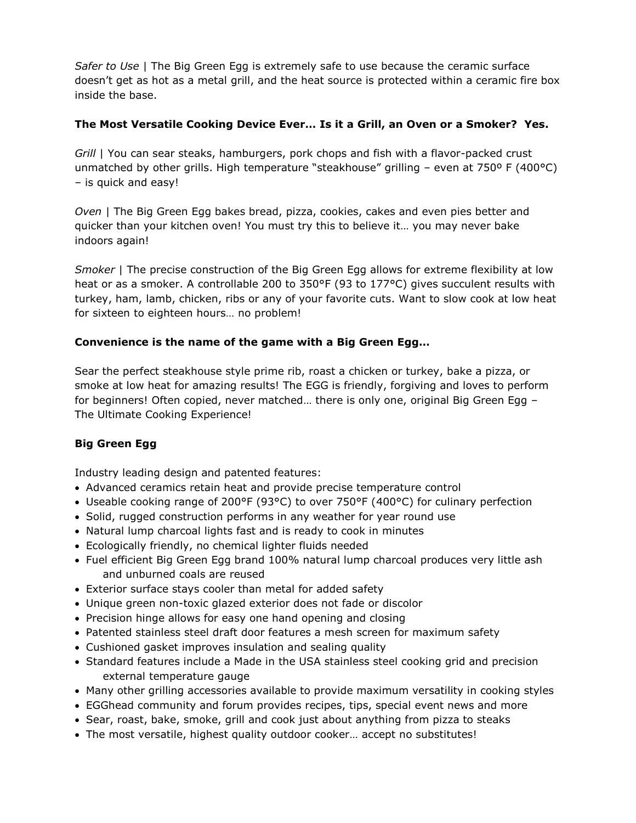*Safer to Use* | The Big Green Egg is extremely safe to use because the ceramic surface doesn't get as hot as a metal grill, and the heat source is protected within a ceramic fire box inside the base.

### **The Most Versatile Cooking Device Ever… Is it a Grill, an Oven or a Smoker? Yes.**

*Grill* | You can sear steaks, hamburgers, pork chops and fish with a flavor-packed crust unmatched by other grills. High temperature "steakhouse" grilling – even at 750º F (400°C) – is quick and easy!

*Oven* | The Big Green Egg bakes bread, pizza, cookies, cakes and even pies better and quicker than your kitchen oven! You must try this to believe it… you may never bake indoors again!

*Smoker* | The precise construction of the Big Green Egg allows for extreme flexibility at low heat or as a smoker. A controllable 200 to 350°F (93 to 177°C) gives succulent results with turkey, ham, lamb, chicken, ribs or any of your favorite cuts. Want to slow cook at low heat for sixteen to eighteen hours… no problem!

## **Convenience is the name of the game with a Big Green Egg…**

Sear the perfect steakhouse style prime rib, roast a chicken or turkey, bake a pizza, or smoke at low heat for amazing results! The EGG is friendly, forgiving and loves to perform for beginners! Often copied, never matched… there is only one, original Big Green Egg – The Ultimate Cooking Experience!

## **Big Green Egg**

Industry leading design and patented features:

- Advanced ceramics retain heat and provide precise temperature control
- Useable cooking range of 200°F (93°C) to over 750°F (400°C) for culinary perfection
- Solid, rugged construction performs in any weather for year round use
- Natural lump charcoal lights fast and is ready to cook in minutes
- Ecologically friendly, no chemical lighter fluids needed
- Fuel efficient Big Green Egg brand 100% natural lump charcoal produces very little ash and unburned coals are reused
- Exterior surface stays cooler than metal for added safety
- Unique green non-toxic glazed exterior does not fade or discolor
- Precision hinge allows for easy one hand opening and closing
- Patented stainless steel draft door features a mesh screen for maximum safety
- Cushioned gasket improves insulation and sealing quality
- Standard features include a Made in the USA stainless steel cooking grid and precision external temperature gauge
- Many other grilling accessories available to provide maximum versatility in cooking styles
- EGGhead community and forum provides recipes, tips, special event news and more
- Sear, roast, bake, smoke, grill and cook just about anything from pizza to steaks
- The most versatile, highest quality outdoor cooker... accept no substitutes!